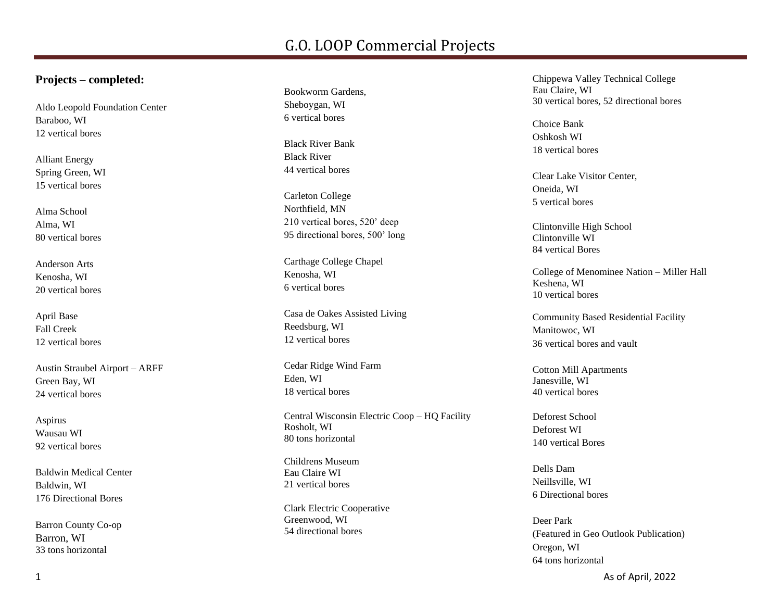#### **Projects – completed:**

Aldo Leopold Foundation Center Baraboo, WI 12 vertical bores

Alliant Energy Spring Green, WI 15 vertical bores

Alma School Alma, WI 80 vertical bores

Anderson Arts Kenosha, WI 20 vertical bores

April Base Fall Creek 12 vertical bores

Austin Straubel Airport – ARFF Green Bay, WI 24 vertical bores

Aspirus Wausau WI 92 vertical bores

Baldwin Medical Center Baldwin , WI 176 Directional Bores

Barron County Co -op Barron, WI 33 tons horizontal

Bookworm Gardens, Sheboygan, WI 6 vertical bores

Black River Bank Black River 44 vertical bores

Carleton College Northfield, MN 210 vertical bores, 520' deep 95 directional bores, 500' long

Carthage College Chapel Kenosha, WI 6 vertical bores

Casa de Oakes Assisted Living Reedsburg, WI 12 vertical bores

Cedar Ridge Wind Farm Eden, WI 18 vertical bores

Central Wisconsin Electric Coop – HQ Facility Rosholt, WI 80 tons horizontal

Childrens Museum Eau Claire WI 21 vertical bores

Clark Electric Cooperative Greenwood , WI 54 directional bores

Chippewa Valley Technical College Eau Claire , WI 30 vertical bores, 52 directional bores

Choice Bank Oshkosh WI 18 vertical bores

Clear Lake Visitor Center, Oneida, WI 5 vertical bores

Clintonville High School Clintonville WI 84 vertical Bores

College of Menominee Nation – Miller Hall Keshena, WI 10 vertical bores

Community Based Residential Facility Manitowoc, WI 36 vertical bores and vault

Cotton Mill Apartments Janesville, WI 40 vertical bores

Deforest School Deforest WI 140 vertical Bores

Dells Dam Neillsville, WI 6 Directional bores

Deer Park (Featured in Geo Outlook Publication) Oregon, WI 64 tons horizontal

As of April, 2022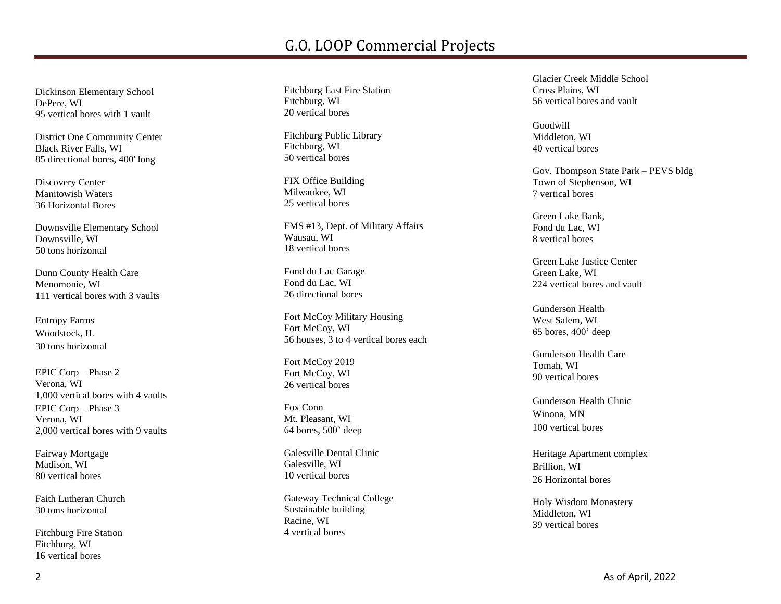Dickinson Elementary School DePere, WI 95 vertical bores with 1 vault

District One Community Center Black River Falls, WI 85 directional bores, 400' long

Discovery Center Manitowish Waters 36 Horizontal Bores

Downsville Elementary School Downsville , WI 50 tons horizontal

Dunn County Health Care Menomonie, WI 111 vertical bores with 3 vaults

Entropy Farms Woodstock, IL 30 tons horizontal

EPIC Corp – Phase 2 Verona, WI 1,000 vertical bores with 4 vaults EPIC Corp – Phase 3 Verona, WI 2,000 vertical bores with 9 vaults

Fairway Mortgage Madison, WI 80 vertical bores

Faith Lutheran Church 30 tons horizontal

Fitchburg Fire Station Fitchburg, WI 16 vertical bores

Fitchburg East Fire Station Fitchburg, WI 20 vertical bores

Fitchburg Public Library Fitchburg, WI 50 vertical bores

FIX Office Building Milwaukee, WI 25 vertical bores

FMS #13, Dept. of Military Affairs Wausau, WI 18 vertical bores

Fond du Lac Garage Fond du Lac, W I 26 directional bores

Fort McCoy Military Housing Fort McCoy, WI 56 houses, 3 to 4 vertical bores each

Fort McCoy 2019 Fort McCoy, WI 26 vertical bores

Fox Conn Mt. Pleasant, WI 64 bores, 500 ' deep

Galesville Dental Clinic Galesville, WI 10 vertical bores

Gateway Technical College Sustainable building Racine , WI 4 vertical bores

Glacier Creek Middle School Cross Plains, WI 56 vertical bores and vault

Goodwill Middleton, WI 40 vertical bores

Gov. Thompson State Park – PEVS bldg Town of Stephenson, WI 7 vertical bores

Green Lake Bank, Fond du Lac, WI 8 vertical bores

Green Lake Justice Center Green Lake, WI 224 vertical bores and vault

Gunderson Health West Salem, WI 65 bores, 400 ' deep

Gunderson Health Care Tomah , W I 90 vertical bores

Gunderson Health Clinic Winona, MN 10 0 vertical bores

Heritage Apartment complex Brillion, WI 26 Horizontal bores

Holy Wisdom Monastery Middleton, WI 39 vertical bore s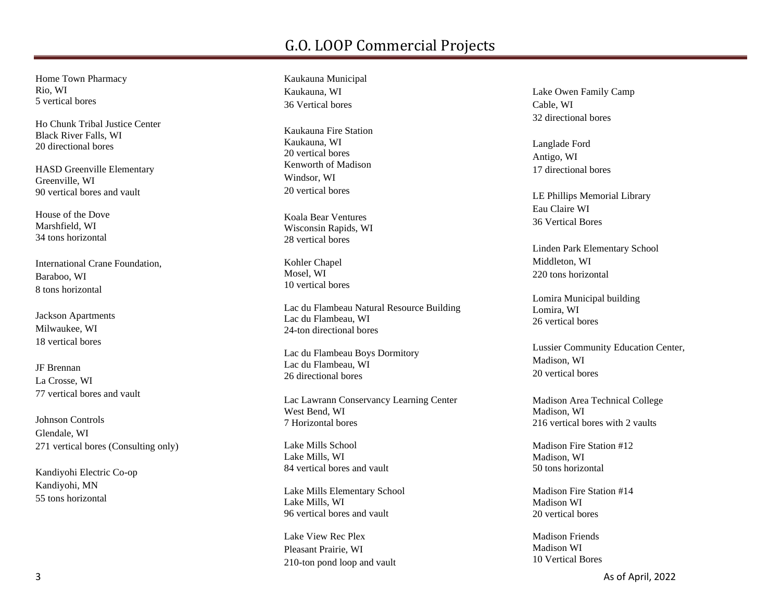Home Town Pharmac y Rio, WI 5 vertical bores

Ho Chunk Tribal Justice Center Black River Falls, WI 20 directional bores

HASD Greenville Elementary Greenville , WI 90 vertical bores and vault

House of the Dove Marshfield, WI 34 ton s horizontal

International Crane Foundation, Baraboo, WI 8 tons horizontal

Jackson Apartments Milwaukee, WI 18 vertical bores

JF Brennan La Crosse, WI 77 vertical bores and vault

Johnson Controls Glendale, WI 271 vertical bores (Consulting only)

Kandiyohi Electric Co -op Ka ndiyohi, MN 55 tons horizontal

Kaukauna Municipal Kaukauna , WI 36 Vertical bores

Kaukauna Fire Station Kaukauna, WI 20 vertical bores Kenworth of Madiso n Windsor , WI 20 vertical bores

Koala Bear Ventures Wisconsin Rapids, WI 28 vertical bores

Kohler Chapel Mosel, WI 10 vertical bores

Lac du Flambeau Natural Resource Building Lac du Flambeau, WI 24 -ton directional bores

Lac du Flambeau Boys Dormitory Lac du Flambeau, WI 26 directional bore s

Lac Lawrann Conservancy Learning Center West Bend, WI 7 Horizontal bores

Lake Mills School Lake Mills, WI 84 vertical bores and vault

Lake Mills Elementary School Lake Mills, WI 96 vertical bores and vault

Lake View Rec Plex Pleasant Prairie, WI 210 -ton pond loop and vault Lake Owen Family Camp Cable , WI 32 directional bores

Langlade Ford Antigo , WI 17 directional bores

LE Phillips Memorial Library Eau Claire WI 36 Vertical Bores

Linden Park Elementary School Middleton, WI 220 tons horizontal

Lomira Municipal building Lomira, WI 26 vertical bores

Lussier Community Education Center, Madison, WI 20 vertical bores

Madison Area Technical College Madison, WI 216 vertical bores with 2 vaults

Madison Fire Station #12 Madison, WI 50 tons horizontal

Madison Fire Station #14 Madison WI 20 vertical bores

Madison Friends Madison WI 10 Vertical Bores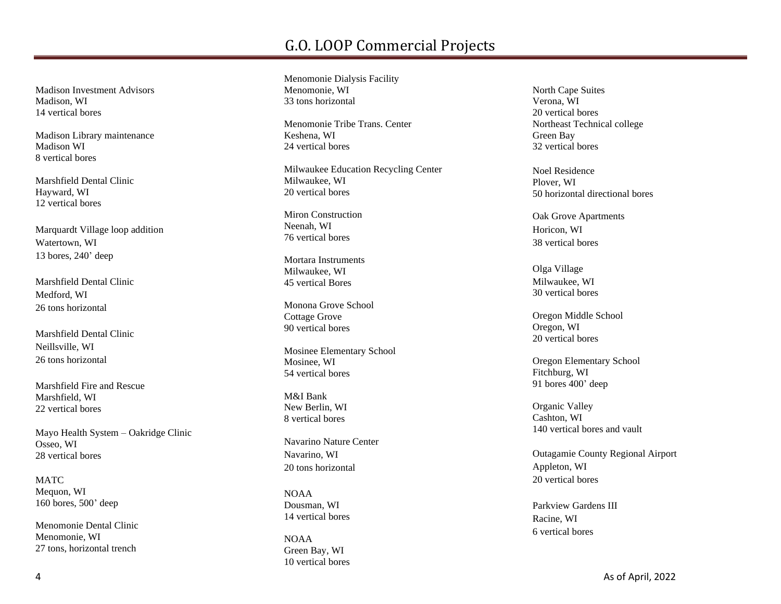Madison Investment Advisors Madison, WI 14 vertical bores

Madison Library maintenance Madison WI 8 vertical bores

Marshfield Dental Clinic Hayward, WI 12 vertical bores

Marquardt Village loop addition Watertown, WI 13 bores, 240' deep

Marshfield Dental Clinic Medford, WI 26 tons horizontal

Marshfield Dental Clinic Neillsville, WI 26 tons horizontal

Marshfield Fire and Rescue Marshfield, WI 22 vertical bores

Mayo Health System – Oakridge Clinic Osseo, WI 28 vertical bores

MATC Mequon, WI 160 bores, 500' deep

Menomonie Dental Clinic Menomonie, WI 27 tons, horizontal trench

Menomonie Dialysis Facility Menomonie, WI 33 tons horizontal

Menomonie Tribe Trans. Center Keshena, WI 24 vertical bores

Milwaukee Education Recycling Center Milwaukee, WI 20 vertical bores

Miron Construction Neenah, WI 76 vertical bores

Mortara Instruments Milwaukee, WI 45 vertical Bores

Monona Grove School Cottage Grove 90 vertical bores

Mosinee Elementary School Mosinee, WI 54 vertical bores

M&I Bank New Berlin, WI 8 vertical bores

Navarino Nature Center Navarino, WI 20 tons horizontal

NOAA Dousman, WI 14 vertical bores

NOAA Green Bay, WI 10 vertical bores

North Cape Suites Verona, WI 20 vertical bores Northeast Technical college Green Bay 32 vertical bores

Noel Residence Plover, WI 50 horizontal directional bores

Oak Grove Apartments Horicon, WI 38 vertical bores

Olga Village Milwaukee, WI 30 vertical bores

Oregon Middle School Oregon, WI 20 vertical bores

Oregon Elementary School Fitchburg, WI 91 bores 400' deep

Organic Valley Cashton, WI 140 vertical bores and vault

Outagamie County Regional Airport Appleton, WI 20 vertical bores

Parkview Gardens III Racine, WI 6 vertical bores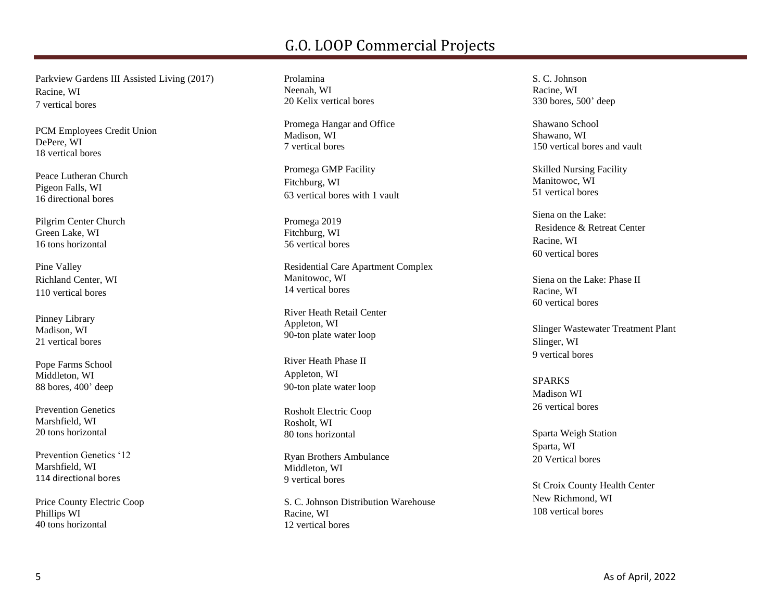Parkview Gardens III Assisted Living (2017) Racine, WI 7 vertical bores

PCM Employees Credit Union DePere, WI 18 vertical bores

Peace Lutheran Church Pigeon Falls, WI 16 directional bores

Pilgrim Center Church Green Lake, WI 16 tons horizontal

Pine Valley Richland Center, WI 110 vertical bores

Pinney Library Madison, WI 21 vertical bores

Pope Farms School Middleton, WI 88 bores, 400' deep

Prevention Genetics Marshfield, WI 20 tons horizontal

Prevention Genetics '12 Marshfield, WI 114 directional bores

Price County Electric Coop Phillips WI 40 tons horizontal

Prolamina Neenah, WI 20 Kelix vertical bores

Promega Hangar and Office Madison, WI 7 vertical bores

Promega GMP Facility Fitchburg, WI 63 vertical bores with 1 vault

Promega 2019 Fitchburg, WI 56 vertical bores

Residential Care Apartment Complex Manitowoc, WI 14 vertical bores

River Heath Retail Center Appleton, WI 90-ton plate water loop

River Heath Phase II Appleton, WI 90-ton plate water loop

Rosholt Electric Coop Rosholt, WI 80 tons horizontal

Ryan Brothers Ambulance Middleton, WI 9 vertical bores

S. C. Johnson Distribution Warehouse Racine, WI 12 vertical bores

S. C. Johnson Racine, WI 330 bores, 500' deep

Shawano School Shawano, WI 150 vertical bores and vault

Skilled Nursing Facility Manitowoc, WI 51 vertical bores

Siena on the Lake: Residence & Retreat Center Racine, WI 60 vertical bores

Siena on the Lake: Phase II Racine, WI 60 vertical bores

Slinger Wastewater Treatment Plant Slinger, WI 9 vertical bores

SPARKS Madison WI 26 vertical bores

Sparta Weigh Station Sparta, WI 20 Vertical bores

St Croix County Health Center New Richmond, WI 108 vertical bores